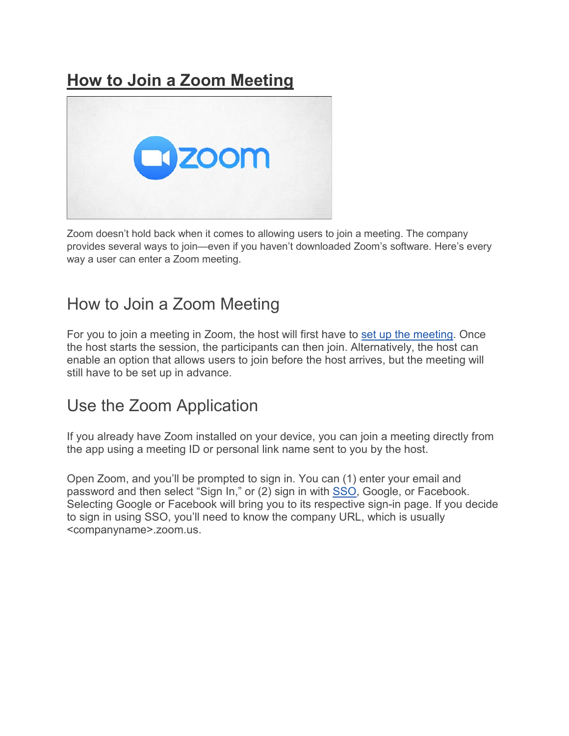# **[How to Join a Zoom Meeting](https://www.howtogeek.com/662339/how-to-join-a-zoom-meeting/)**



Zoom doesn't hold back when it comes to allowing users to join a meeting. The company provides several ways to join—even if you haven't downloaded Zoom's software. Here's every way a user can enter a Zoom meeting.

## How to Join a Zoom Meeting

For you to join a meeting in Zoom, the host will first have to [set up the meeting.](https://www.howtogeek.com/661924/how-to-set-up-a-zoom-meeting/) Once the host starts the session, the participants can then join. Alternatively, the host can enable an option that allows users to join before the host arrives, but the meeting will still have to be set up in advance.

## Use the Zoom Application

If you already have Zoom installed on your device, you can join a meeting directly from the app using a meeting ID or personal link name sent to you by the host.

Open Zoom, and you'll be prompted to sign in. You can (1) enter your email and password and then select "Sign In," or (2) sign in with [SSO,](https://www.howtogeek.com/288868/how-to-set-up-single-sign-on-on-the-apple-tv/) Google, or Facebook. Selecting Google or Facebook will bring you to its respective sign-in page. If you decide to sign in using SSO, you'll need to know the company URL, which is usually <companyname>.zoom.us.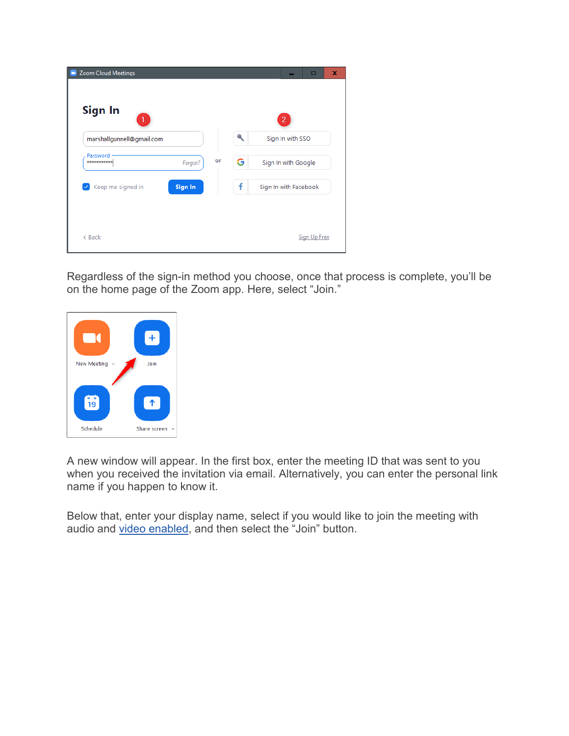| 1                                 |         |    | ٩ | $\overline{2}$        |
|-----------------------------------|---------|----|---|-----------------------|
| marshallgunnell@gmail.com         |         |    |   | Sign In with SSO      |
| Password<br>***********           | Forgot? | or | G | Sign In with Google   |
| Keep me signed in<br>$\checkmark$ | Sign In |    | f | Sign In with Facebook |

Regardless of the sign-in method you choose, once that process is complete, you'll be on the home page of the Zoom app. Here, select "Join."



A new window will appear. In the first box, enter the meeting ID that was sent to you when you received the invitation via email. Alternatively, you can enter the personal link name if you happen to know it.

Below that, enter your display name, select if you would like to join the meeting with audio and [video enabled,](https://www.howtogeek.com/661506/how-to-hide-your-background-during-video-calls-in-zoom/) and then select the "Join" button.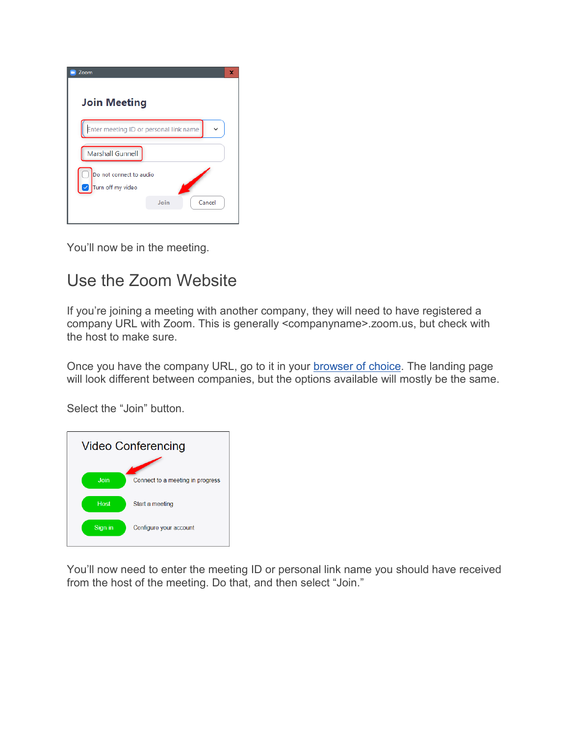| Zoom                                         |      |        | × |
|----------------------------------------------|------|--------|---|
| <b>Join Meeting</b>                          |      |        |   |
| Enter meeting ID or personal link name       |      |        |   |
| <b>Marshall Gunnell</b>                      |      |        |   |
| Do not connect to audio<br>Turn off my video |      |        |   |
|                                              | Join | Cancel |   |

You'll now be in the meeting.

# Use the Zoom Website

If you're joining a meeting with another company, they will need to have registered a company URL with Zoom. This is generally <companyname>.zoom.us, but check with the host to make sure.

Once you have the company URL, go to it in your **browser of choice**. The landing page will look different between companies, but the options available will mostly be the same.

Select the "Join" button.



You'll now need to enter the meeting ID or personal link name you should have received from the host of the meeting. Do that, and then select "Join."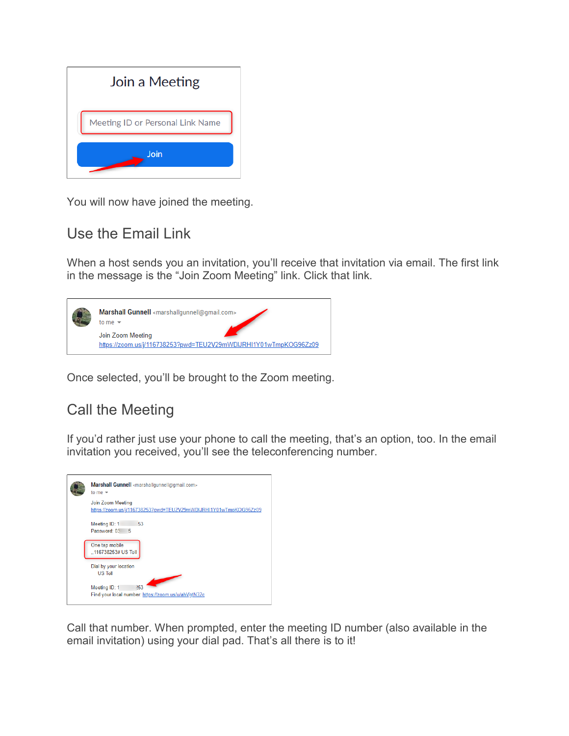

You will now have joined the meeting.

### Use the Email Link

When a host sends you an invitation, you'll receive that invitation via email. The first link in the message is the "Join Zoom Meeting" link. Click that link.



Once selected, you'll be brought to the Zoom meeting.

## Call the Meeting

If you'd rather just use your phone to call the meeting, that's an option, too. In the email invitation you received, you'll see the teleconferencing number.



Call that number. When prompted, enter the meeting ID number (also available in the email invitation) using your dial pad. That's all there is to it!